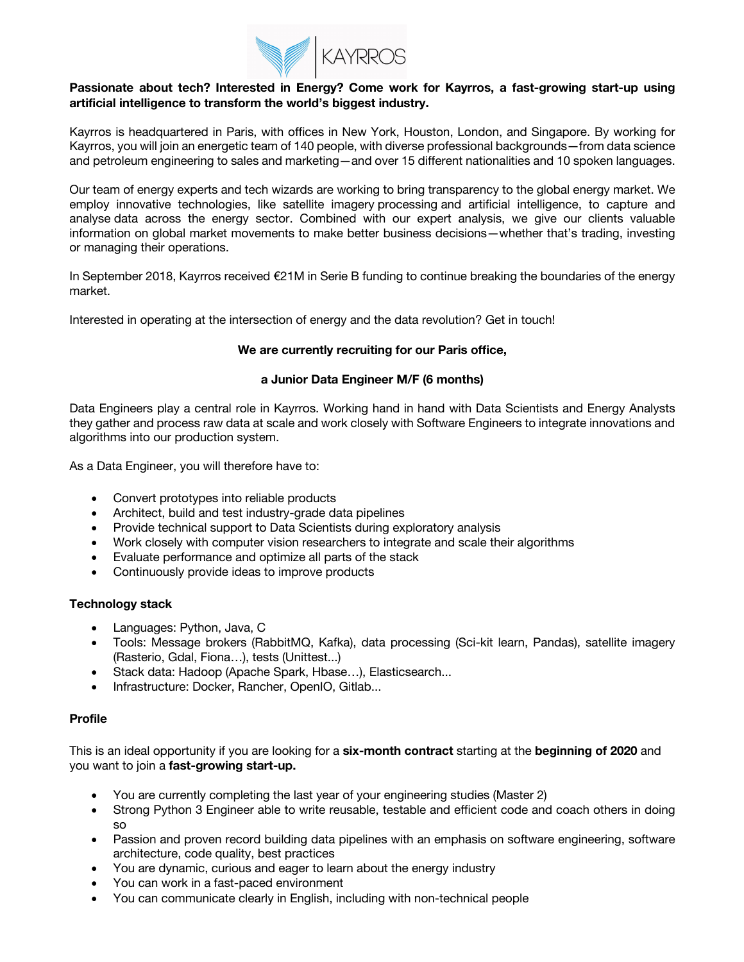

# **Passionate about tech? Interested in Energy? Come work for Kayrros, a fast-growing start-up using artificial intelligence to transform the world's biggest industry.**

Kayrros is headquartered in Paris, with offices in New York, Houston, London, and Singapore. By working for Kayrros, you will join an energetic team of 140 people, with diverse professional backgrounds—from data science and petroleum engineering to sales and marketing—and over 15 different nationalities and 10 spoken languages.

Our team of energy experts and tech wizards are working to bring transparency to the global energy market. We employ innovative technologies, like satellite imagery processing and artificial intelligence, to capture and analyse data across the energy sector. Combined with our expert analysis, we give our clients valuable information on global market movements to make better business decisions—whether that's trading, investing or managing their operations.

In September 2018, Kayrros received €21M in Serie B funding to continue breaking the boundaries of the energy market.

Interested in operating at the intersection of energy and the data revolution? Get in touch!

# **We are currently recruiting for our Paris office,**

### **a Junior Data Engineer M/F (6 months)**

Data Engineers play a central role in Kayrros. Working hand in hand with Data Scientists and Energy Analysts they gather and process raw data at scale and work closely with Software Engineers to integrate innovations and algorithms into our production system.

As a Data Engineer, you will therefore have to:

- Convert prototypes into reliable products
- Architect, build and test industry-grade data pipelines
- Provide technical support to Data Scientists during exploratory analysis
- Work closely with computer vision researchers to integrate and scale their algorithms
- Evaluate performance and optimize all parts of the stack
- Continuously provide ideas to improve products

#### **Technology stack**

- Languages: Python, Java, C
- Tools: Message brokers (RabbitMQ, Kafka), data processing (Sci-kit learn, Pandas), satellite imagery (Rasterio, Gdal, Fiona…), tests (Unittest...)
- Stack data: Hadoop (Apache Spark, Hbase…), Elasticsearch...
- Infrastructure: Docker, Rancher, OpenIO, Gitlab...

#### **Profile**

This is an ideal opportunity if you are looking for a **six-month contract** starting at the **beginning of 2020** and you want to join a **fast-growing start-up.**

- You are currently completing the last year of your engineering studies (Master 2)
- Strong Python 3 Engineer able to write reusable, testable and efficient code and coach others in doing so
- Passion and proven record building data pipelines with an emphasis on software engineering, software architecture, code quality, best practices
- You are dynamic, curious and eager to learn about the energy industry
- You can work in a fast-paced environment
- You can communicate clearly in English, including with non-technical people